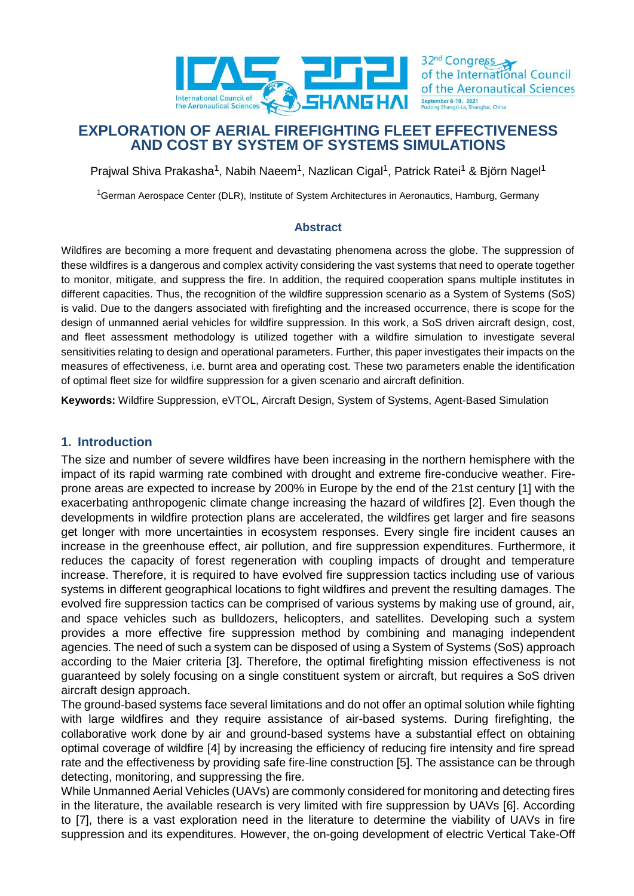

32<sup>nd</sup> Congress of the International Council of the Aeronautical Sciences

# **EXPLORATION OF AERIAL FIREFIGHTING FLEET EFFECTIVENESS AND COST BY SYSTEM OF SYSTEMS SIMULATIONS**

Prajwal Shiva Prakasha<sup>1</sup>, Nabih Naeem<sup>1</sup>, Nazlican Cigal<sup>1</sup>, Patrick Ratei<sup>1</sup> & Björn Nagel<sup>1</sup>

<sup>1</sup>German Aerospace Center (DLR), Institute of System Architectures in Aeronautics, Hamburg, Germany

#### **Abstract**

Wildfires are becoming a more frequent and devastating phenomena across the globe. The suppression of these wildfires is a dangerous and complex activity considering the vast systems that need to operate together to monitor, mitigate, and suppress the fire. In addition, the required cooperation spans multiple institutes in different capacities. Thus, the recognition of the wildfire suppression scenario as a System of Systems (SoS) is valid. Due to the dangers associated with firefighting and the increased occurrence, there is scope for the design of unmanned aerial vehicles for wildfire suppression. In this work, a SoS driven aircraft design, cost, and fleet assessment methodology is utilized together with a wildfire simulation to investigate several sensitivities relating to design and operational parameters. Further, this paper investigates their impacts on the measures of effectiveness, i.e. burnt area and operating cost. These two parameters enable the identification of optimal fleet size for wildfire suppression for a given scenario and aircraft definition.

**Keywords:** Wildfire Suppression, eVTOL, Aircraft Design, System of Systems, Agent-Based Simulation

#### **1. Introduction**

The size and number of severe wildfires have been increasing in the northern hemisphere with the impact of its rapid warming rate combined with drought and extreme fire-conducive weather. Fireprone areas are expected to increase by 200% in Europe by the end of the 21st century [\[1\]](#page-14-0) with the exacerbating anthropogenic climate change increasing the hazard of wildfires [\[2\].](#page-14-1) Even though the developments in wildfire protection plans are accelerated, the wildfires get larger and fire seasons get longer with more uncertainties in ecosystem responses. Every single fire incident causes an increase in the greenhouse effect, air pollution, and fire suppression expenditures. Furthermore, it reduces the capacity of forest regeneration with coupling impacts of drought and temperature increase. Therefore, it is required to have evolved fire suppression tactics including use of various systems in different geographical locations to fight wildfires and prevent the resulting damages. The evolved fire suppression tactics can be comprised of various systems by making use of ground, air, and space vehicles such as bulldozers, helicopters, and satellites. Developing such a system provides a more effective fire suppression method by combining and managing independent agencies. The need of such a system can be disposed of using a System of Systems (SoS) approach according to the Maier criteria [\[3\].](#page-14-2) Therefore, the optimal firefighting mission effectiveness is not guaranteed by solely focusing on a single constituent system or aircraft, but requires a SoS driven aircraft design approach.

The ground-based systems face several limitations and do not offer an optimal solution while fighting with large wildfires and they require assistance of air-based systems. During firefighting, the collaborative work done by air and ground-based systems have a substantial effect on obtaining optimal coverage of wildfire [\[4\]](#page-14-3) by increasing the efficiency of reducing fire intensity and fire spread rate and the effectiveness by providing safe fire-line construction [\[5\].](#page-14-4) The assistance can be through detecting, monitoring, and suppressing the fire.

While Unmanned Aerial Vehicles (UAVs) are commonly considered for monitoring and detecting fires in the literature, the available research is very limited with fire suppression by UAVs [\[6\].](#page-14-5) According to [\[7\],](#page-14-6) there is a vast exploration need in the literature to determine the viability of UAVs in fire suppression and its expenditures. However, the on-going development of electric Vertical Take-Off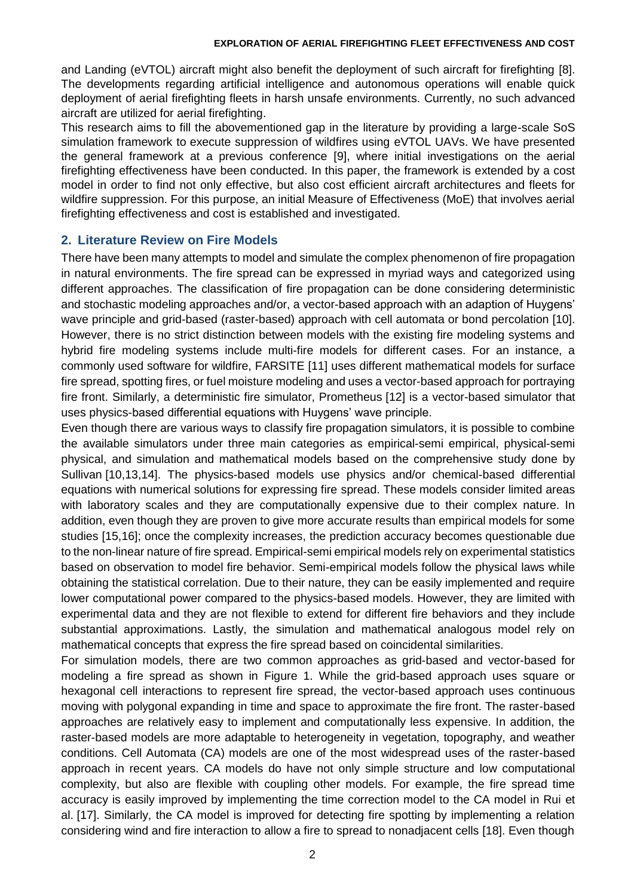and Landing (eVTOL) aircraft might also benefit the deployment of such aircraft for firefighting [\[8\].](#page-14-7) The developments regarding artificial intelligence and autonomous operations will enable quick deployment of aerial firefighting fleets in harsh unsafe environments. Currently, no such advanced aircraft are utilized for aerial firefighting.

This research aims to fill the abovementioned gap in the literature by providing a large-scale SoS simulation framework to execute suppression of wildfires using eVTOL UAVs. We have presented the general framework at a previous conference [\[9\],](#page-14-8) where initial investigations on the aerial firefighting effectiveness have been conducted. In this paper, the framework is extended by a cost model in order to find not only effective, but also cost efficient aircraft architectures and fleets for wildfire suppression. For this purpose, an initial Measure of Effectiveness (MoE) that involves aerial firefighting effectiveness and cost is established and investigated.

#### **2. Literature Review on Fire Models**

There have been many attempts to model and simulate the complex phenomenon of fire propagation in natural environments. The fire spread can be expressed in myriad ways and categorized using different approaches. The classification of fire propagation can be done considering deterministic and stochastic modeling approaches and/or, a vector-based approach with an adaption of Huygens' wave principle and grid-based (raster-based) approach with cell automata or bond percolation [\[10\].](#page-14-9) However, there is no strict distinction between models with the existing fire modeling systems and hybrid fire modeling systems include multi-fire models for different cases. For an instance, a commonly used software for wildfire, FARSITE [\[11\]](#page-15-0) uses different mathematical models for surface fire spread, spotting fires, or fuel moisture modeling and uses a vector-based approach for portraying fire front. Similarly, a deterministic fire simulator, Prometheus [\[12\]](#page-15-1) is a vector-based simulator that uses physics-based differential equations with Huygens' wave principle.

Even though there are various ways to classify fire propagation simulators, it is possible to combine the available simulators under three main categories as empirical-semi empirical, physical-semi physical, and simulation and mathematical models based on the comprehensive study done by Sullivan [\[10](#page-14-9)[,13](#page-15-2)[,14\].](#page-15-3) The physics-based models use physics and/or chemical-based differential equations with numerical solutions for expressing fire spread. These models consider limited areas with laboratory scales and they are computationally expensive due to their complex nature. In addition, even though they are proven to give more accurate results than empirical models for some studies [\[15](#page-15-4)[,16\];](#page-15-5) once the complexity increases, the prediction accuracy becomes questionable due to the non-linear nature of fire spread. Empirical-semi empirical models rely on experimental statistics based on observation to model fire behavior. Semi-empirical models follow the physical laws while obtaining the statistical correlation. Due to their nature, they can be easily implemented and require lower computational power compared to the physics-based models. However, they are limited with experimental data and they are not flexible to extend for different fire behaviors and they include substantial approximations. Lastly, the simulation and mathematical analogous model rely on mathematical concepts that express the fire spread based on coincidental similarities.

For simulation models, there are two common approaches as grid-based and vector-based for modeling a fire spread as shown in [Figure 1.](#page-2-0) While the grid-based approach uses square or hexagonal cell interactions to represent fire spread, the vector-based approach uses continuous moving with polygonal expanding in time and space to approximate the fire front. The raster-based approaches are relatively easy to implement and computationally less expensive. In addition, the raster-based models are more adaptable to heterogeneity in vegetation, topography, and weather conditions. Cell Automata (CA) models are one of the most widespread uses of the raster-based approach in recent years. CA models do have not only simple structure and low computational complexity, but also are flexible with coupling other models. For example, the fire spread time accuracy is easily improved by implementing the time correction model to the CA model in Rui et al. [\[17\].](#page-15-6) Similarly, the CA model is improved for detecting fire spotting by implementing a relation considering wind and fire interaction to allow a fire to spread to nonadjacent cells [\[18\].](#page-15-7) Even though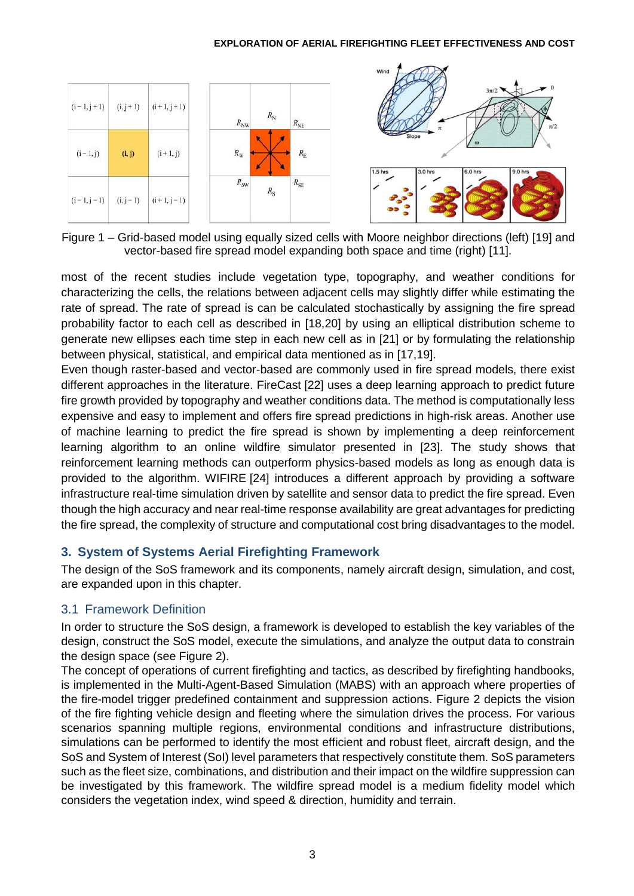

<span id="page-2-0"></span>Figure 1 – Grid-based model using equally sized cells with Moore neighbor directions (left) [\[19\]](#page-15-8) and vector-based fire spread model expanding both space and time (right) [\[11\].](#page-15-0)

most of the recent studies include vegetation type, topography, and weather conditions for characterizing the cells, the relations between adjacent cells may slightly differ while estimating the rate of spread. The rate of spread is can be calculated stochastically by assigning the fire spread probability factor to each cell as described in [\[18](#page-15-7)[,20\]](#page-15-9) by using an elliptical distribution scheme to generate new ellipses each time step in each new cell as in [\[21\]](#page-15-10) or by formulating the relationship between physical, statistical, and empirical data mentioned as in [\[17](#page-15-6)[,19\].](#page-15-8)

Even though raster-based and vector-based are commonly used in fire spread models, there exist different approaches in the literature. FireCast [\[22\]](#page-15-11) uses a deep learning approach to predict future fire growth provided by topography and weather conditions data. The method is computationally less expensive and easy to implement and offers fire spread predictions in high-risk areas. Another use of machine learning to predict the fire spread is shown by implementing a deep reinforcement learning algorithm to an online wildfire simulator presented in [\[23\].](#page-15-12) The study shows that reinforcement learning methods can outperform physics-based models as long as enough data is provided to the algorithm. WIFIRE [\[24\]](#page-15-13) introduces a different approach by providing a software infrastructure real-time simulation driven by satellite and sensor data to predict the fire spread. Even though the high accuracy and near real-time response availability are great advantages for predicting the fire spread, the complexity of structure and computational cost bring disadvantages to the model.

# **3. System of Systems Aerial Firefighting Framework**

The design of the SoS framework and its components, namely aircraft design, simulation, and cost, are expanded upon in this chapter.

# 3.1 Framework Definition

In order to structure the SoS design, a framework is developed to establish the key variables of the design, construct the SoS model, execute the simulations, and analyze the output data to constrain the design space (see [Figure 2\)](#page-3-0).

The concept of operations of current firefighting and tactics, as described by firefighting handbooks, is implemented in the Multi-Agent-Based Simulation (MABS) with an approach where properties of the fire-model trigger predefined containment and suppression actions. [Figure 2](#page-3-0) depicts the vision of the fire fighting vehicle design and fleeting where the simulation drives the process. For various scenarios spanning multiple regions, environmental conditions and infrastructure distributions, simulations can be performed to identify the most efficient and robust fleet, aircraft design, and the SoS and System of Interest (SoI) level parameters that respectively constitute them. SoS parameters such as the fleet size, combinations, and distribution and their impact on the wildfire suppression can be investigated by this framework. The wildfire spread model is a medium fidelity model which considers the vegetation index, wind speed & direction, humidity and terrain.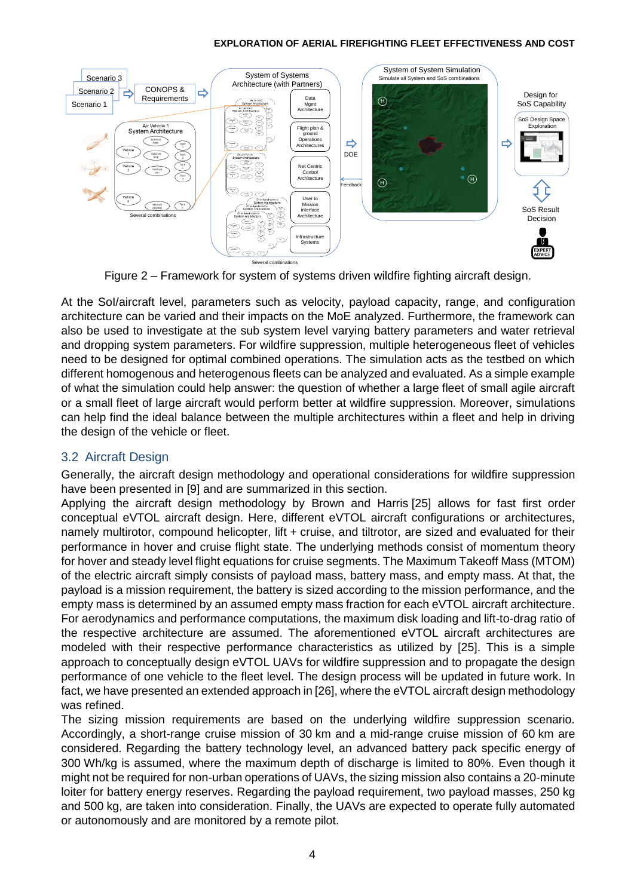

Figure 2 – Framework for system of systems driven wildfire fighting aircraft design.

<span id="page-3-0"></span>At the SoI/aircraft level, parameters such as velocity, payload capacity, range, and configuration architecture can be varied and their impacts on the MoE analyzed. Furthermore, the framework can also be used to investigate at the sub system level varying battery parameters and water retrieval and dropping system parameters. For wildfire suppression, multiple heterogeneous fleet of vehicles need to be designed for optimal combined operations. The simulation acts as the testbed on which different homogenous and heterogenous fleets can be analyzed and evaluated. As a simple example of what the simulation could help answer: the question of whether a large fleet of small agile aircraft or a small fleet of large aircraft would perform better at wildfire suppression. Moreover, simulations can help find the ideal balance between the multiple architectures within a fleet and help in driving the design of the vehicle or fleet.

### 3.2 Aircraft Design

Generally, the aircraft design methodology and operational considerations for wildfire suppression have been presented in [\[9\]](#page-14-8) and are summarized in this section.

Applying the aircraft design methodology by Brown and Harris [\[25\]](#page-16-0) allows for fast first order conceptual eVTOL aircraft design. Here, different eVTOL aircraft configurations or architectures, namely multirotor, compound helicopter, lift + cruise, and tiltrotor, are sized and evaluated for their performance in hover and cruise flight state. The underlying methods consist of momentum theory for hover and steady level flight equations for cruise segments. The Maximum Takeoff Mass (MTOM) of the electric aircraft simply consists of payload mass, battery mass, and empty mass. At that, the payload is a mission requirement, the battery is sized according to the mission performance, and the empty mass is determined by an assumed empty mass fraction for each eVTOL aircraft architecture. For aerodynamics and performance computations, the maximum disk loading and lift-to-drag ratio of the respective architecture are assumed. The aforementioned eVTOL aircraft architectures are modeled with their respective performance characteristics as utilized by [\[25\].](#page-16-0) This is a simple approach to conceptually design eVTOL UAVs for wildfire suppression and to propagate the design performance of one vehicle to the fleet level. The design process will be updated in future work. In fact, we have presented an extended approach i[n \[26\],](#page-16-1) where the eVTOL aircraft design methodology was refined. **Example 19 Concess**<br> **Example 19 Concess**<br> **Example 19 Concess**<br> **Example 19 Concessions**<br> **Example 19 Concessions**<br> **Example 19 Concessions**<br> **Example 19 Concessions**<br> **Example 19 Concessions**<br> **Example** 

The sizing mission requirements are based on the underlying wildfire suppression scenario. Accordingly, a short-range cruise mission of 30 km and a mid-range cruise mission of 60 km are considered. Regarding the battery technology level, an advanced battery pack specific energy of 300 Wh/kg is assumed, where the maximum depth of discharge is limited to 80%. Even though it might not be required for non-urban operations of UAVs, the sizing mission also contains a 20-minute loiter for battery energy reserves. Regarding the payload requirement, two payload masses, 250 kg and 500 kg, are taken into consideration. Finally, the UAVs are expected to operate fully automated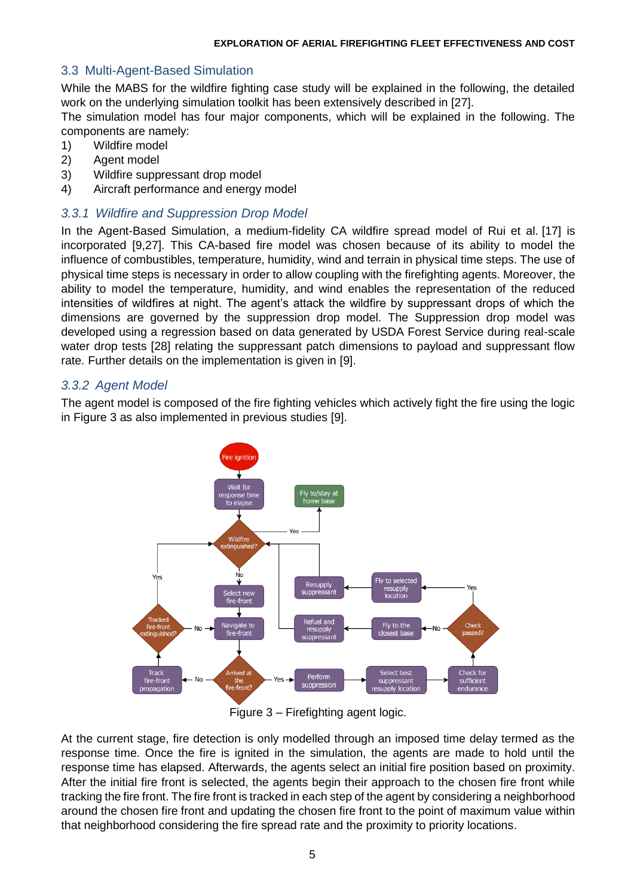### 3.3 Multi-Agent-Based Simulation

While the MABS for the wildfire fighting case study will be explained in the following, the detailed work on the underlying simulation toolkit has been extensively described in [\[27\].](#page-16-2)

The simulation model has four major components, which will be explained in the following. The components are namely:

- 1) Wildfire model
- 2) Agent model
- 3) Wildfire suppressant drop model
- 4) Aircraft performance and energy model

#### *3.3.1 Wildfire and Suppression Drop Model*

In the Agent-Based Simulation, a medium-fidelity CA wildfire spread model of Rui et al. [\[17\]](#page-15-6) is incorporated [\[9](#page-14-8)[,27\].](#page-16-2) This CA-based fire model was chosen because of its ability to model the influence of combustibles, temperature, humidity, wind and terrain in physical time steps. The use of physical time steps is necessary in order to allow coupling with the firefighting agents. Moreover, the ability to model the temperature, humidity, and wind enables the representation of the reduced intensities of wildfires at night. The agent's attack the wildfire by suppressant drops of which the dimensions are governed by the suppression drop model. The Suppression drop model was developed using a regression based on data generated by USDA Forest Service during real-scale water drop tests [\[28\]](#page-16-3) relating the suppressant patch dimensions to payload and suppressant flow rate. Further details on the implementation is given in [\[9\].](#page-14-8)

#### *3.3.2 Agent Model*

The agent model is composed of the fire fighting vehicles which actively fight the fire using the logic in [Figure 3](#page-4-0) as also implemented in previous studies [\[9\].](#page-14-8)



Figure 3 – Firefighting agent logic.

<span id="page-4-0"></span>At the current stage, fire detection is only modelled through an imposed time delay termed as the response time. Once the fire is ignited in the simulation, the agents are made to hold until the response time has elapsed. Afterwards, the agents select an initial fire position based on proximity. After the initial fire front is selected, the agents begin their approach to the chosen fire front while tracking the fire front. The fire front is tracked in each step of the agent by considering a neighborhood around the chosen fire front and updating the chosen fire front to the point of maximum value within that neighborhood considering the fire spread rate and the proximity to priority locations.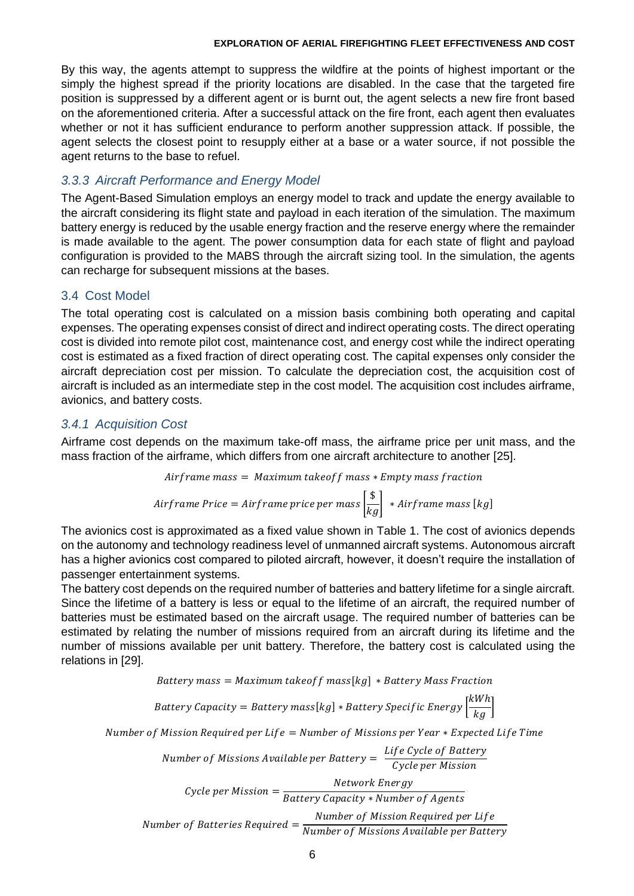By this way, the agents attempt to suppress the wildfire at the points of highest important or the simply the highest spread if the priority locations are disabled. In the case that the targeted fire position is suppressed by a different agent or is burnt out, the agent selects a new fire front based on the aforementioned criteria. After a successful attack on the fire front, each agent then evaluates whether or not it has sufficient endurance to perform another suppression attack. If possible, the agent selects the closest point to resupply either at a base or a water source, if not possible the agent returns to the base to refuel.

## *3.3.3 Aircraft Performance and Energy Model*

The Agent-Based Simulation employs an energy model to track and update the energy available to the aircraft considering its flight state and payload in each iteration of the simulation. The maximum battery energy is reduced by the usable energy fraction and the reserve energy where the remainder is made available to the agent. The power consumption data for each state of flight and payload configuration is provided to the MABS through the aircraft sizing tool. In the simulation, the agents can recharge for subsequent missions at the bases.

### 3.4 Cost Model

The total operating cost is calculated on a mission basis combining both operating and capital expenses. The operating expenses consist of direct and indirect operating costs. The direct operating cost is divided into remote pilot cost, maintenance cost, and energy cost while the indirect operating cost is estimated as a fixed fraction of direct operating cost. The capital expenses only consider the aircraft depreciation cost per mission. To calculate the depreciation cost, the acquisition cost of aircraft is included as an intermediate step in the cost model. The acquisition cost includes airframe, avionics, and battery costs.

### *3.4.1 Acquisition Cost*

Airframe cost depends on the maximum take-off mass, the airframe price per unit mass, and the mass fraction of the airframe, which differs from one aircraft architecture to another [\[25\].](#page-16-0)

$$
Airframe\ mass=\ Maximum\ taken\ of\ mass*Empty\ mass\ fraction
$$

Airframe Price = Airframe price per mass 
$$
\left[\frac{\$}{kg}\right]
$$
 \* Airframe mass [kg]

The avionics cost is approximated as a fixed value shown in [Table 1.](#page-7-0) The cost of avionics depends on the autonomy and technology readiness level of unmanned aircraft systems. Autonomous aircraft has a higher avionics cost compared to piloted aircraft, however, it doesn't require the installation of passenger entertainment systems.

The battery cost depends on the required number of batteries and battery lifetime for a single aircraft. Since the lifetime of a battery is less or equal to the lifetime of an aircraft, the required number of batteries must be estimated based on the aircraft usage. The required number of batteries can be estimated by relating the number of missions required from an aircraft during its lifetime and the number of missions available per unit battery. Therefore, the battery cost is calculated using the relations in [\[29\].](#page-16-4)

Battery mass =  $Maximum\, takeoff\, mass [kg] * battery\, Mass\, Fraction$ 

$$
Battery \; Capacity = Battery \; mass [kg] * Battery \; Specific \; Energy \left[\frac{kWh}{kg}\right]
$$

Number of Mission Required per Life = Number of Missions per Year  $*$  Expected Life Time

Number of Missions Available per Battery

\n
$$
Subjected from a W (cycle per Mission)
$$
\n
$$
Cycle per Mission = \frac{Network \, Energy}{Battery \, Capacity * Number \, of \, Agents}
$$
\nNumber of Batteries Required = \frac{Number \, of \, Mission \, Required \, per \, Life}{Number \, of \, Mission \, Available \, per \,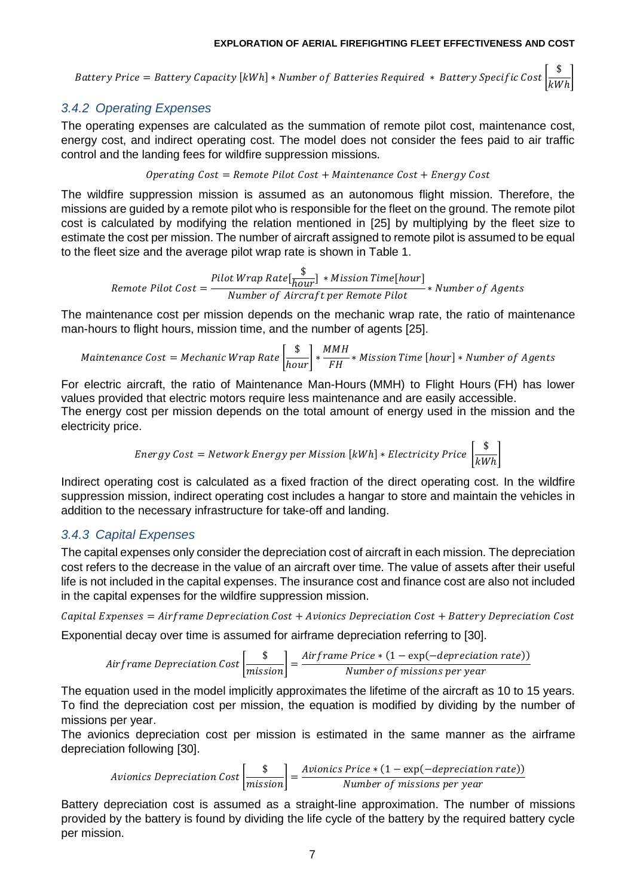Battery Price = Battery Capacity [kWh] \* Number of Batteries Required \* Battery Specific Cost  $\frac{\$}{\$M}$  $\overline{kWh}$ 

# *3.4.2 Operating Expenses*

The operating expenses are calculated as the summation of remote pilot cost, maintenance cost, energy cost, and indirect operating cost. The model does not consider the fees paid to air traffic control and the landing fees for wildfire suppression missions.

#### Operating Cost = Remote Pilot Cost + Maintenance Cost + Energy Cost

The wildfire suppression mission is assumed as an autonomous flight mission. Therefore, the missions are guided by a remote pilot who is responsible for the fleet on the ground. The remote pilot cost is calculated by modifying the relation mentioned in [\[25\]](#page-16-0) by multiplying by the fleet size to estimate the cost per mission. The number of aircraft assigned to remote pilot is assumed to be equal to the fleet size and the average pilot wrap rate is shown in [Table 1.](#page-7-0)

Remote Pilot Cost = Pilot Wrap Rate $\frac{\$}{\hbar\alpha\alpha}$  $\frac{1}{hour}] * MissionTime[hour]$ <u>Number of Aircraft per Remote Pilot</u> ∗ Number of Agents

The maintenance cost per mission depends on the mechanic wrap rate, the ratio of maintenance man-hours to flight hours, mission time, and the number of agents [\[25\].](#page-16-0)

$$
Maintename \; Cost = Mechanic \; Wrap \; Rate \left[\frac{\$}{hour}\right] * \frac{MMH}{FH} * \; Mission \; Time \; [hour] * Number \; of \; Agents
$$

For electric aircraft, the ratio of Maintenance Man-Hours (MMH) to Flight Hours (FH) has lower values provided that electric motors require less maintenance and are easily accessible. The energy cost per mission depends on the total amount of energy used in the mission and the electricity price.

Energy Cost = Network Energy per Mission [kWh] \* Electricity Price 
$$
\frac{\$}{kWh}
$$

Indirect operating cost is calculated as a fixed fraction of the direct operating cost. In the wildfire suppression mission, indirect operating cost includes a hangar to store and maintain the vehicles in addition to the necessary infrastructure for take-off and landing.

# *3.4.3 Capital Expenses*

The capital expenses only consider the depreciation cost of aircraft in each mission. The depreciation cost refers to the decrease in the value of an aircraft over time. The value of assets after their useful life is not included in the capital expenses. The insurance cost and finance cost are also not included in the capital expenses for the wildfire suppression mission.

Capital Expenses =  $Airframe$  Depreciation Cost + Avionics Depreciation Cost + Battery Depreciation Cost Exponential decay over time is assumed for airframe depreciation referring to [\[30\].](#page-16-5)

*Airframe Depreciation Cost* 
$$
\left[ \frac{\$}{missing} \right] = \frac{Airframe Price * (1 - exp(-deprecision rate))}{Number of missions per year}
$$

The equation used in the model implicitly approximates the lifetime of the aircraft as 10 to 15 years. To find the depreciation cost per mission, the equation is modified by dividing by the number of missions per year.

The avionics depreciation cost per mission is estimated in the same manner as the airframe depreciation following [\[30\].](#page-16-5)

Avionics Depreciation Cost  $\left[\frac{\$}{mission}\right] =$  $A$ vionics Price  $*(1 - \exp(-depreciation rate))$ Number of missions per year

Battery depreciation cost is assumed as a straight-line approximation. The number of missions provided by the battery is found by dividing the life cycle of the battery by the required battery cycle per mission.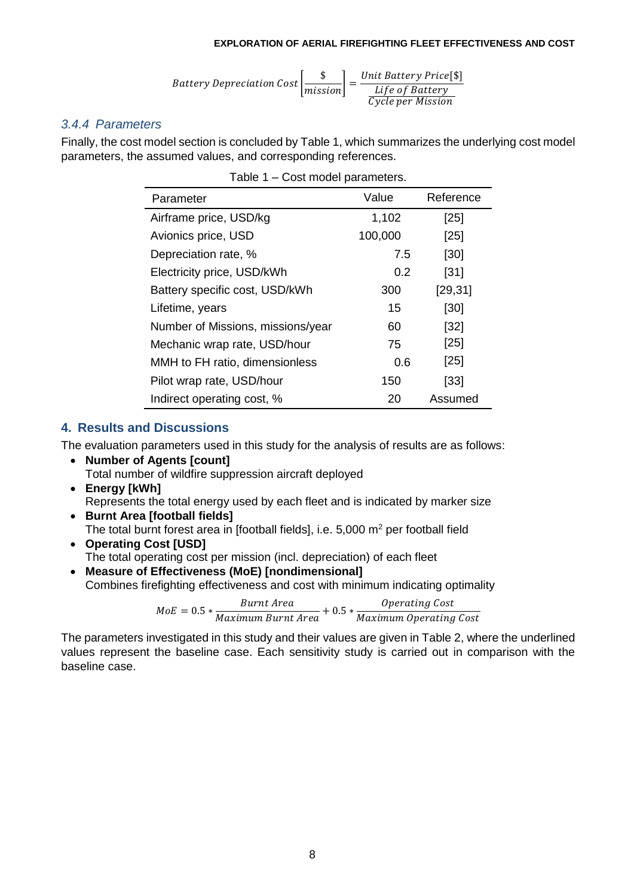$$
Battery\ Depreciation\ Cost\left[\frac{\$}{mission}\right] = \frac{Unit\ Battery\ Price[\$]}{Life\ of\ Battery}
$$
  

$$
\frac{Life\ of\ Battery}{Cycle\ per\ Mission}
$$

### *3.4.4 Parameters*

<span id="page-7-0"></span>Finally, the cost model section is concluded by [Table 1,](#page-7-0) which summarizes the underlying cost model parameters, the assumed values, and corresponding references.

| Parameter                         | Value   | Reference |
|-----------------------------------|---------|-----------|
| Airframe price, USD/kg            | 1,102   | [25]      |
| Avionics price, USD               | 100,000 | [25]      |
| Depreciation rate, %              | 7.5     | [30]      |
| Electricity price, USD/kWh        | 0.2     | [31]      |
| Battery specific cost, USD/kWh    | 300     | [29, 31]  |
| Lifetime, years                   | 15      | [30]      |
| Number of Missions, missions/year | 60      | [32]      |
| Mechanic wrap rate, USD/hour      | 75      | [25]      |
| MMH to FH ratio, dimensionless    | 0.6     | [25]      |
| Pilot wrap rate, USD/hour         | 150     | [33]      |
| Indirect operating cost, %        | 20      | Assumed   |

| Table 1 - Cost model parameters. |  |  |
|----------------------------------|--|--|
|----------------------------------|--|--|

### **4. Results and Discussions**

The evaluation parameters used in this study for the analysis of results are as follows:

- **Number of Agents [count]** Total number of wildfire suppression aircraft deployed
- **Energy [kWh]** Represents the total energy used by each fleet and is indicated by marker size
- **Burnt Area [football fields]** The total burnt forest area in [football fields], i.e.  $5,000$  m<sup>2</sup> per football field
- **Operating Cost [USD]** The total operating cost per mission (incl. depreciation) of each fleet
- **Measure of Effectiveness (MoE) [nondimensional]** Combines firefighting effectiveness and cost with minimum indicating optimality

 $\emph{MoE} = 0.5 * \frac{Burnt\text{ Area}}{Maximum\text{ Burnt\text{ Area}}} + 0.5 * \frac{Operating\text{ Cost}}{Maximum\text{ Operating}}$ Maximum Operating Cost

The parameters investigated in this study and their values are given in [Table 2,](#page-8-0) where the underlined values represent the baseline case. Each sensitivity study is carried out in comparison with the baseline case.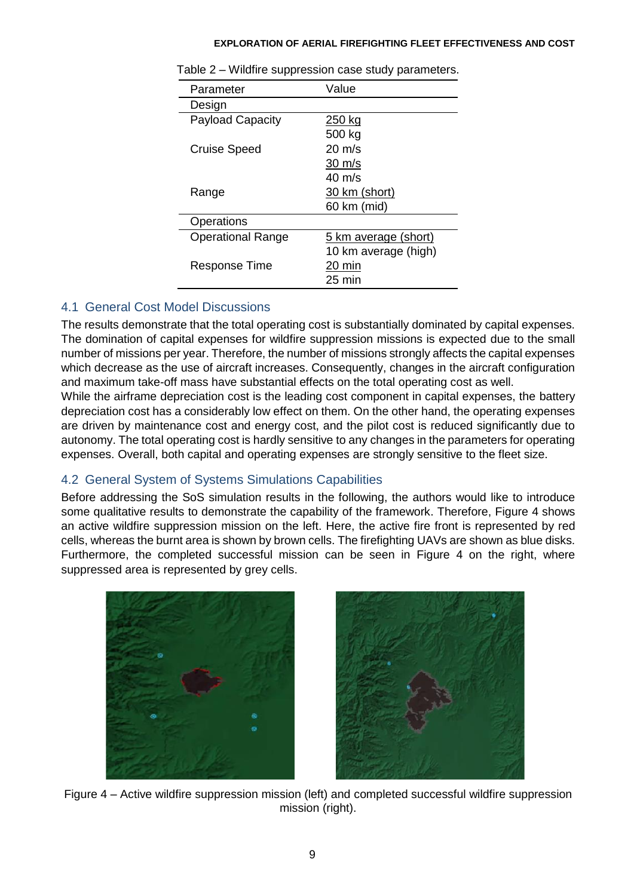| Parameter                | Value                |
|--------------------------|----------------------|
| Design                   |                      |
| <b>Payload Capacity</b>  | 250 kg               |
|                          | 500 kg               |
| <b>Cruise Speed</b>      | $20 \text{ m/s}$     |
|                          | $30 \text{ m/s}$     |
|                          | $40 \text{ m/s}$     |
| Range                    | 30 km (short)        |
|                          | 60 km (mid)          |
| Operations               |                      |
| <b>Operational Range</b> | 5 km average (short) |
|                          | 10 km average (high) |
| Response Time            | 20 min               |
|                          | 25 min               |

<span id="page-8-0"></span>Table 2 – Wildfire suppression case study parameters.

# 4.1 General Cost Model Discussions

The results demonstrate that the total operating cost is substantially dominated by capital expenses. The domination of capital expenses for wildfire suppression missions is expected due to the small number of missions per year. Therefore, the number of missions strongly affects the capital expenses which decrease as the use of aircraft increases. Consequently, changes in the aircraft configuration and maximum take-off mass have substantial effects on the total operating cost as well.

While the airframe depreciation cost is the leading cost component in capital expenses, the battery depreciation cost has a considerably low effect on them. On the other hand, the operating expenses are driven by maintenance cost and energy cost, and the pilot cost is reduced significantly due to autonomy. The total operating cost is hardly sensitive to any changes in the parameters for operating expenses. Overall, both capital and operating expenses are strongly sensitive to the fleet size.

# 4.2 General System of Systems Simulations Capabilities

Before addressing the SoS simulation results in the following, the authors would like to introduce some qualitative results to demonstrate the capability of the framework. Therefore, [Figure 4](#page-8-1) shows an active wildfire suppression mission on the left. Here, the active fire front is represented by red cells, whereas the burnt area is shown by brown cells. The firefighting UAVs are shown as blue disks. Furthermore, the completed successful mission can be seen in [Figure 4](#page-8-1) on the right, where suppressed area is represented by grey cells.



<span id="page-8-1"></span>

Figure 4 – Active wildfire suppression mission (left) and completed successful wildfire suppression mission (right).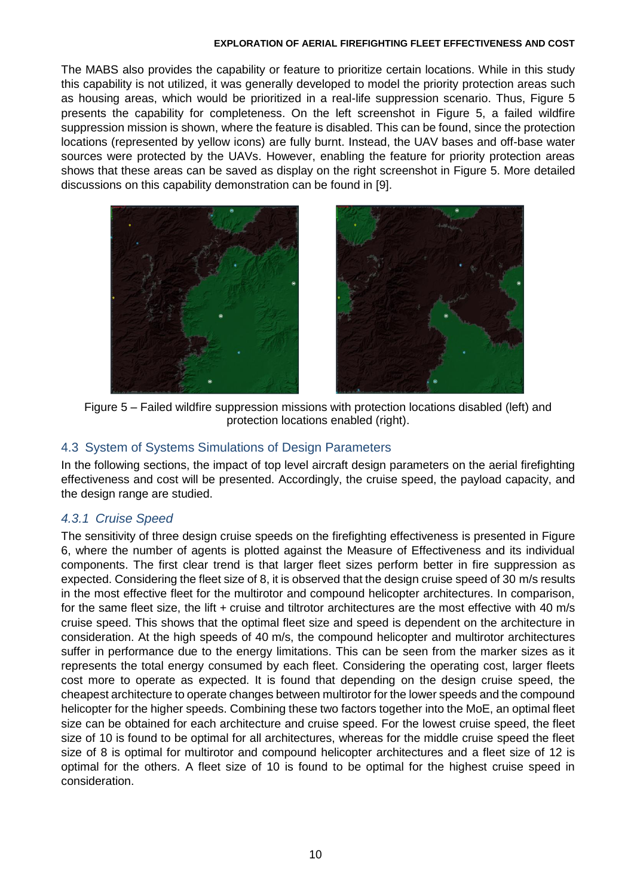The MABS also provides the capability or feature to prioritize certain locations. While in this study this capability is not utilized, it was generally developed to model the priority protection areas such as housing areas, which would be prioritized in a real-life suppression scenario. Thus, [Figure 5](#page-9-0) presents the capability for completeness. On the left screenshot in [Figure 5,](#page-9-0) a failed wildfire suppression mission is shown, where the feature is disabled. This can be found, since the protection locations (represented by yellow icons) are fully burnt. Instead, the UAV bases and off-base water sources were protected by the UAVs. However, enabling the feature for priority protection areas shows that these areas can be saved as display on the right screenshot in [Figure 5.](#page-9-0) More detailed discussions on this capability demonstration can be found in [\[9\].](#page-14-8)





Figure 5 – Failed wildfire suppression missions with protection locations disabled (left) and protection locations enabled (right).

### <span id="page-9-0"></span>4.3 System of Systems Simulations of Design Parameters

In the following sections, the impact of top level aircraft design parameters on the aerial firefighting effectiveness and cost will be presented. Accordingly, the cruise speed, the payload capacity, and the design range are studied.

### *4.3.1 Cruise Speed*

The sensitivity of three design cruise speeds on the firefighting effectiveness is presented in [Figure](#page-10-0)  [6,](#page-10-0) where the number of agents is plotted against the Measure of Effectiveness and its individual components. The first clear trend is that larger fleet sizes perform better in fire suppression as expected. Considering the fleet size of 8, it is observed that the design cruise speed of 30 m/s results in the most effective fleet for the multirotor and compound helicopter architectures. In comparison, for the same fleet size, the lift + cruise and tiltrotor architectures are the most effective with 40 m/s cruise speed. This shows that the optimal fleet size and speed is dependent on the architecture in consideration. At the high speeds of 40 m/s, the compound helicopter and multirotor architectures suffer in performance due to the energy limitations. This can be seen from the marker sizes as it represents the total energy consumed by each fleet. Considering the operating cost, larger fleets cost more to operate as expected. It is found that depending on the design cruise speed, the cheapest architecture to operate changes between multirotor for the lower speeds and the compound helicopter for the higher speeds. Combining these two factors together into the MoE, an optimal fleet size can be obtained for each architecture and cruise speed. For the lowest cruise speed, the fleet size of 10 is found to be optimal for all architectures, whereas for the middle cruise speed the fleet size of 8 is optimal for multirotor and compound helicopter architectures and a fleet size of 12 is optimal for the others. A fleet size of 10 is found to be optimal for the highest cruise speed in consideration.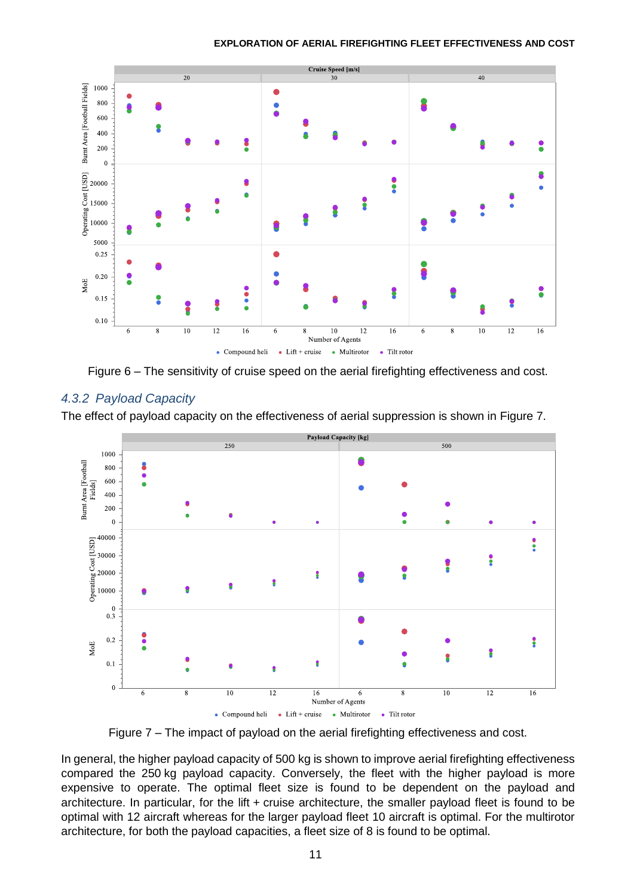

Figure 6 – The sensitivity of cruise speed on the aerial firefighting effectiveness and cost.

### <span id="page-10-0"></span>*4.3.2 Payload Capacity*

The effect of payload capacity on the effectiveness of aerial suppression is shown in [Figure 7.](#page-10-1)



Figure 7 – The impact of payload on the aerial firefighting effectiveness and cost.

<span id="page-10-1"></span>In general, the higher payload capacity of 500 kg is shown to improve aerial firefighting effectiveness compared the 250 kg payload capacity. Conversely, the fleet with the higher payload is more expensive to operate. The optimal fleet size is found to be dependent on the payload and architecture. In particular, for the lift + cruise architecture, the smaller payload fleet is found to be optimal with 12 aircraft whereas for the larger payload fleet 10 aircraft is optimal. For the multirotor architecture, for both the payload capacities, a fleet size of 8 is found to be optimal.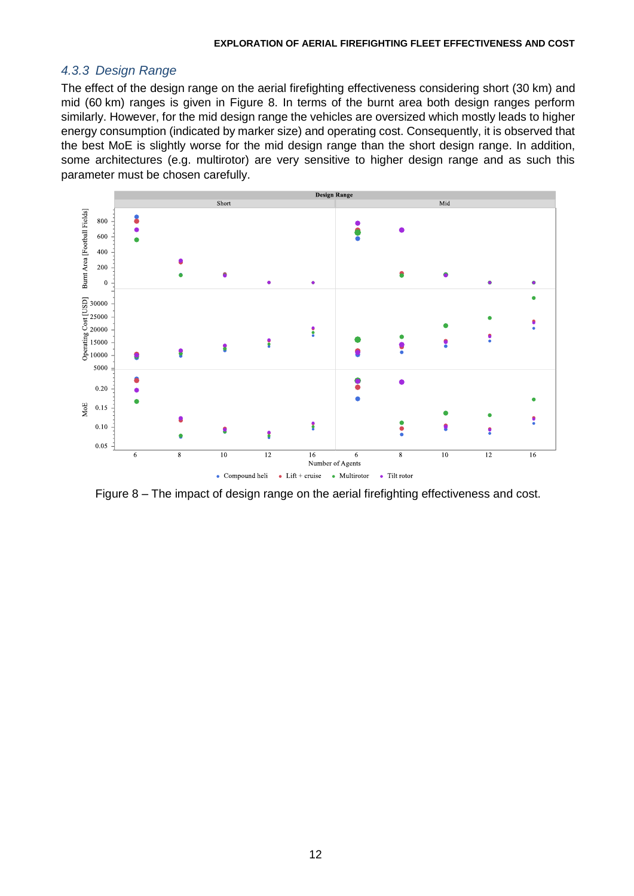#### *4.3.3 Design Range*

The effect of the design range on the aerial firefighting effectiveness considering short (30 km) and mid (60 km) ranges is given in [Figure 8.](#page-11-0) In terms of the burnt area both design ranges perform similarly. However, for the mid design range the vehicles are oversized which mostly leads to higher energy consumption (indicated by marker size) and operating cost. Consequently, it is observed that the best MoE is slightly worse for the mid design range than the short design range. In addition, some architectures (e.g. multirotor) are very sensitive to higher design range and as such this parameter must be chosen carefully.



<span id="page-11-0"></span>Figure 8 – The impact of design range on the aerial firefighting effectiveness and cost.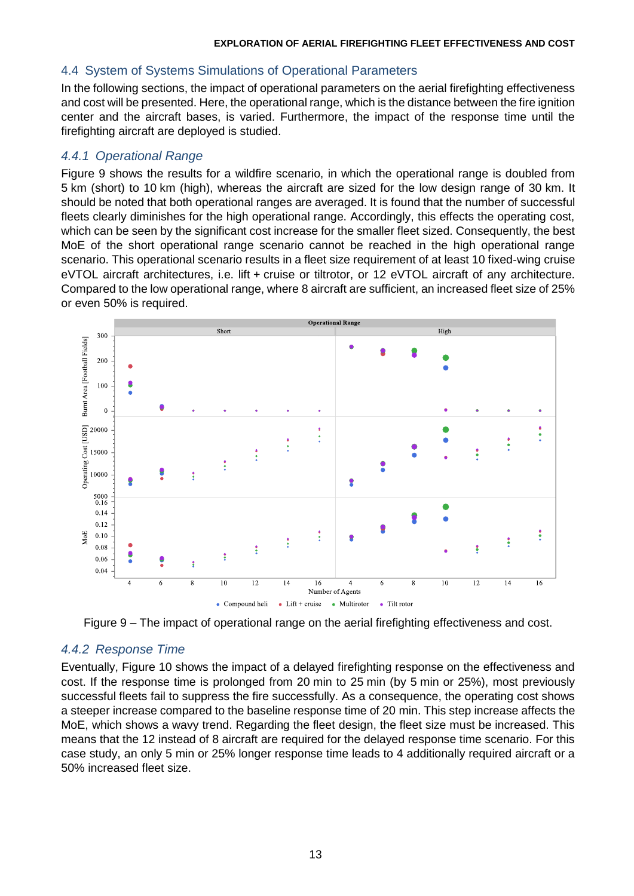## 4.4 System of Systems Simulations of Operational Parameters

In the following sections, the impact of operational parameters on the aerial firefighting effectiveness and cost will be presented. Here, the operational range, which is the distance between the fire ignition center and the aircraft bases, is varied. Furthermore, the impact of the response time until the firefighting aircraft are deployed is studied.

## *4.4.1 Operational Range*

[Figure 9](#page-12-0) shows the results for a wildfire scenario, in which the operational range is doubled from 5 km (short) to 10 km (high), whereas the aircraft are sized for the low design range of 30 km. It should be noted that both operational ranges are averaged. It is found that the number of successful fleets clearly diminishes for the high operational range. Accordingly, this effects the operating cost, which can be seen by the significant cost increase for the smaller fleet sized. Consequently, the best MoE of the short operational range scenario cannot be reached in the high operational range scenario. This operational scenario results in a fleet size requirement of at least 10 fixed-wing cruise eVTOL aircraft architectures, i.e. lift + cruise or tiltrotor, or 12 eVTOL aircraft of any architecture. Compared to the low operational range, where 8 aircraft are sufficient, an increased fleet size of 25% or even 50% is required.



Figure 9 – The impact of operational range on the aerial firefighting effectiveness and cost.

### <span id="page-12-0"></span>*4.4.2 Response Time*

Eventually, [Figure 10](#page-13-0) shows the impact of a delayed firefighting response on the effectiveness and cost. If the response time is prolonged from 20 min to 25 min (by 5 min or 25%), most previously successful fleets fail to suppress the fire successfully. As a consequence, the operating cost shows a steeper increase compared to the baseline response time of 20 min. This step increase affects the MoE, which shows a wavy trend. Regarding the fleet design, the fleet size must be increased. This means that the 12 instead of 8 aircraft are required for the delayed response time scenario. For this case study, an only 5 min or 25% longer response time leads to 4 additionally required aircraft or a 50% increased fleet size.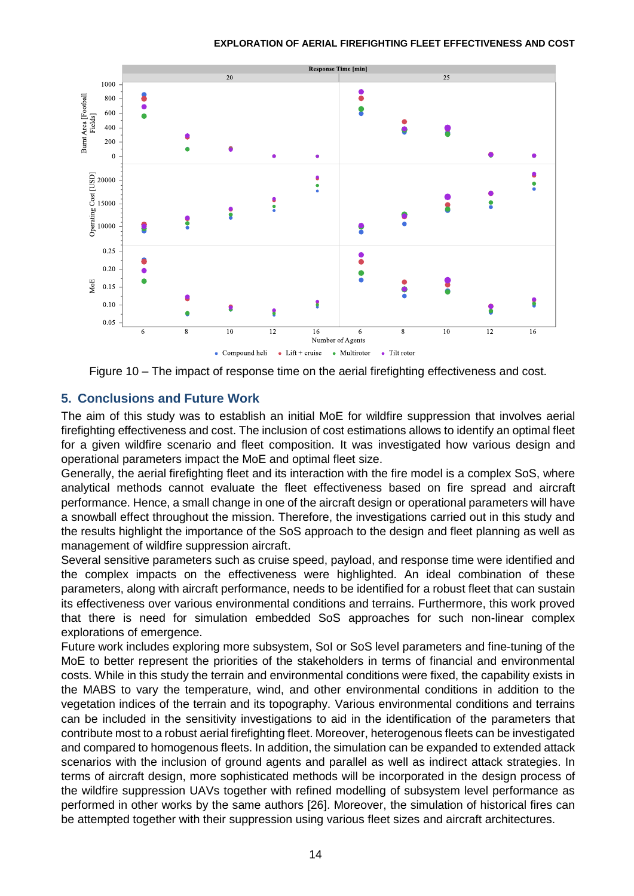

Figure 10 – The impact of response time on the aerial firefighting effectiveness and cost.

## <span id="page-13-0"></span>**5. Conclusions and Future Work**

The aim of this study was to establish an initial MoE for wildfire suppression that involves aerial firefighting effectiveness and cost. The inclusion of cost estimations allows to identify an optimal fleet for a given wildfire scenario and fleet composition. It was investigated how various design and operational parameters impact the MoE and optimal fleet size.

Generally, the aerial firefighting fleet and its interaction with the fire model is a complex SoS, where analytical methods cannot evaluate the fleet effectiveness based on fire spread and aircraft performance. Hence, a small change in one of the aircraft design or operational parameters will have a snowball effect throughout the mission. Therefore, the investigations carried out in this study and the results highlight the importance of the SoS approach to the design and fleet planning as well as management of wildfire suppression aircraft.

Several sensitive parameters such as cruise speed, payload, and response time were identified and the complex impacts on the effectiveness were highlighted. An ideal combination of these parameters, along with aircraft performance, needs to be identified for a robust fleet that can sustain its effectiveness over various environmental conditions and terrains. Furthermore, this work proved that there is need for simulation embedded SoS approaches for such non-linear complex explorations of emergence.

Future work includes exploring more subsystem, SoI or SoS level parameters and fine-tuning of the MoE to better represent the priorities of the stakeholders in terms of financial and environmental costs. While in this study the terrain and environmental conditions were fixed, the capability exists in the MABS to vary the temperature, wind, and other environmental conditions in addition to the vegetation indices of the terrain and its topography. Various environmental conditions and terrains can be included in the sensitivity investigations to aid in the identification of the parameters that contribute most to a robust aerial firefighting fleet. Moreover, heterogenous fleets can be investigated and compared to homogenous fleets. In addition, the simulation can be expanded to extended attack scenarios with the inclusion of ground agents and parallel as well as indirect attack strategies. In terms of aircraft design, more sophisticated methods will be incorporated in the design process of the wildfire suppression UAVs together with refined modelling of subsystem level performance as performed in other works by the same authors [\[26\].](#page-16-1) Moreover, the simulation of historical fires can be attempted together with their suppression using various fleet sizes and aircraft architectures.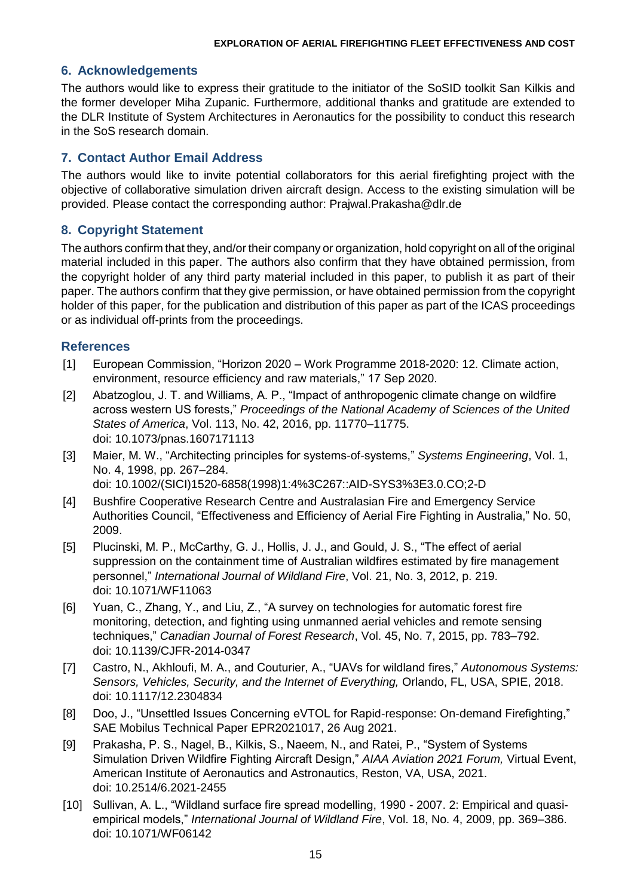#### **6. Acknowledgements**

The authors would like to express their gratitude to the initiator of the SoSID toolkit San Kilkis and the former developer Miha Zupanic. Furthermore, additional thanks and gratitude are extended to the DLR Institute of System Architectures in Aeronautics for the possibility to conduct this research in the SoS research domain.

## **7. Contact Author Email Address**

The authors would like to invite potential collaborators for this aerial firefighting project with the objective of collaborative simulation driven aircraft design. Access to the existing simulation will be provided. Please contact the corresponding author: [Prajwal.Prakasha@dlr.de](mailto:Prajwal.Prakasha@dlr.de)

### **8. Copyright Statement**

The authors confirm that they, and/or their company or organization, hold copyright on all of the original material included in this paper. The authors also confirm that they have obtained permission, from the copyright holder of any third party material included in this paper, to publish it as part of their paper. The authors confirm that they give permission, or have obtained permission from the copyright holder of this paper, for the publication and distribution of this paper as part of the ICAS proceedings or as individual off-prints from the proceedings.

#### **References**

- <span id="page-14-0"></span>[1] European Commission, "Horizon 2020 – Work Programme 2018-2020: 12. Climate action, environment, resource efficiency and raw materials," 17 Sep 2020.
- <span id="page-14-1"></span>[2] Abatzoglou, J. T. and Williams, A. P., "Impact of anthropogenic climate change on wildfire across western US forests," *Proceedings of the National Academy of Sciences of the United States of America*, Vol. 113, No. 42, 2016, pp. 11770–11775. doi: 10.1073/pnas.1607171113
- <span id="page-14-2"></span>[3] Maier, M. W., "Architecting principles for systems-of-systems," *Systems Engineering*, Vol. 1, No. 4, 1998, pp. 267–284. doi: 10.1002/(SICI)1520-6858(1998)1:4%3C267::AID-SYS3%3E3.0.CO;2-D
- <span id="page-14-3"></span>[4] Bushfire Cooperative Research Centre and Australasian Fire and Emergency Service Authorities Council, "Effectiveness and Efficiency of Aerial Fire Fighting in Australia," No. 50, 2009.
- <span id="page-14-4"></span>[5] Plucinski, M. P., McCarthy, G. J., Hollis, J. J., and Gould, J. S., "The effect of aerial suppression on the containment time of Australian wildfires estimated by fire management personnel," *International Journal of Wildland Fire*, Vol. 21, No. 3, 2012, p. 219. doi: 10.1071/WF11063
- <span id="page-14-5"></span>[6] Yuan, C., Zhang, Y., and Liu, Z., "A survey on technologies for automatic forest fire monitoring, detection, and fighting using unmanned aerial vehicles and remote sensing techniques," *Canadian Journal of Forest Research*, Vol. 45, No. 7, 2015, pp. 783–792. doi: 10.1139/CJFR-2014-0347
- <span id="page-14-6"></span>[7] Castro, N., Akhloufi, M. A., and Couturier, A., "UAVs for wildland fires," *Autonomous Systems: Sensors, Vehicles, Security, and the Internet of Everything,* Orlando, FL, USA, SPIE, 2018. doi: 10.1117/12.2304834
- <span id="page-14-7"></span>[8] Doo, J., "Unsettled Issues Concerning eVTOL for Rapid-response: On-demand Firefighting," SAE Mobilus Technical Paper EPR2021017, 26 Aug 2021.
- <span id="page-14-8"></span>[9] Prakasha, P. S., Nagel, B., Kilkis, S., Naeem, N., and Ratei, P., "System of Systems Simulation Driven Wildfire Fighting Aircraft Design," *AIAA Aviation 2021 Forum,* Virtual Event, American Institute of Aeronautics and Astronautics, Reston, VA, USA, 2021. doi: 10.2514/6.2021-2455
- <span id="page-14-9"></span>[10] Sullivan, A. L., "Wildland surface fire spread modelling, 1990 - 2007. 2: Empirical and quasiempirical models," *International Journal of Wildland Fire*, Vol. 18, No. 4, 2009, pp. 369–386. doi: 10.1071/WF06142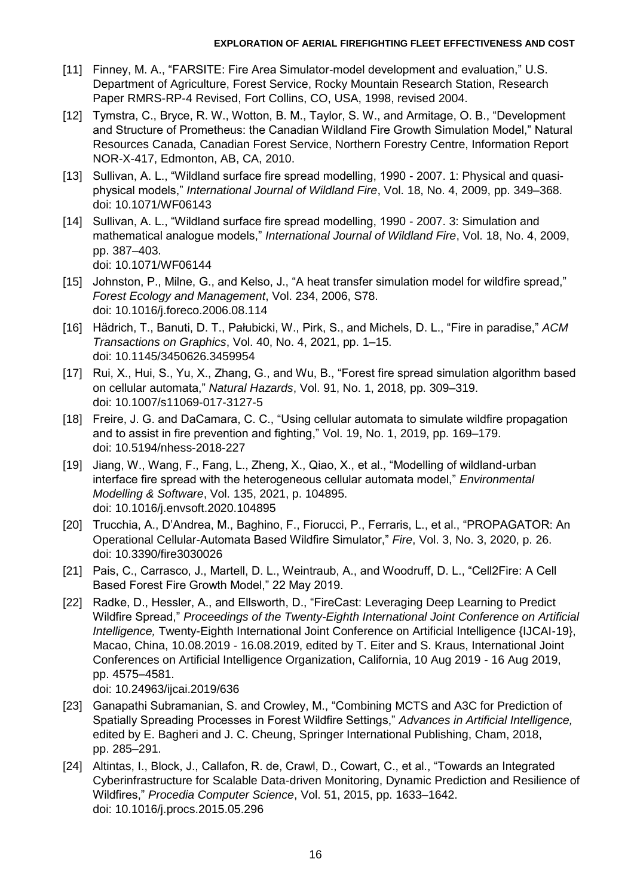- <span id="page-15-0"></span>[11] Finney, M. A., "FARSITE: Fire Area Simulator-model development and evaluation," U.S. Department of Agriculture, Forest Service, Rocky Mountain Research Station, Research Paper RMRS-RP-4 Revised, Fort Collins, CO, USA, 1998, revised 2004.
- <span id="page-15-1"></span>[12] Tymstra, C., Bryce, R. W., Wotton, B. M., Taylor, S. W., and Armitage, O. B., "Development and Structure of Prometheus: the Canadian Wildland Fire Growth Simulation Model," Natural Resources Canada, Canadian Forest Service, Northern Forestry Centre, Information Report NOR-X-417, Edmonton, AB, CA, 2010.
- <span id="page-15-2"></span>[13] Sullivan, A. L., "Wildland surface fire spread modelling, 1990 - 2007. 1: Physical and quasiphysical models," *International Journal of Wildland Fire*, Vol. 18, No. 4, 2009, pp. 349–368. doi: 10.1071/WF06143
- <span id="page-15-3"></span>[14] Sullivan, A. L., "Wildland surface fire spread modelling, 1990 - 2007. 3: Simulation and mathematical analogue models," *International Journal of Wildland Fire*, Vol. 18, No. 4, 2009, pp. 387–403. doi: 10.1071/WF06144
- <span id="page-15-4"></span>[15] Johnston, P., Milne, G., and Kelso, J., "A heat transfer simulation model for wildfire spread," *Forest Ecology and Management*, Vol. 234, 2006, S78. doi: 10.1016/j.foreco.2006.08.114
- <span id="page-15-5"></span>[16] Hädrich, T., Banuti, D. T., Pałubicki, W., Pirk, S., and Michels, D. L., "Fire in paradise," *ACM Transactions on Graphics*, Vol. 40, No. 4, 2021, pp. 1–15. doi: 10.1145/3450626.3459954
- <span id="page-15-6"></span>[17] Rui, X., Hui, S., Yu, X., Zhang, G., and Wu, B., "Forest fire spread simulation algorithm based on cellular automata," *Natural Hazards*, Vol. 91, No. 1, 2018, pp. 309–319. doi: 10.1007/s11069-017-3127-5
- <span id="page-15-7"></span>[18] Freire, J. G. and DaCamara, C. C., "Using cellular automata to simulate wildfire propagation and to assist in fire prevention and fighting," Vol. 19, No. 1, 2019, pp. 169–179. doi: 10.5194/nhess-2018-227
- <span id="page-15-8"></span>[19] Jiang, W., Wang, F., Fang, L., Zheng, X., Qiao, X., et al., "Modelling of wildland-urban interface fire spread with the heterogeneous cellular automata model," *Environmental Modelling & Software*, Vol. 135, 2021, p. 104895. doi: 10.1016/j.envsoft.2020.104895
- <span id="page-15-9"></span>[20] Trucchia, A., D'Andrea, M., Baghino, F., Fiorucci, P., Ferraris, L., et al., "PROPAGATOR: An Operational Cellular-Automata Based Wildfire Simulator," *Fire*, Vol. 3, No. 3, 2020, p. 26. doi: 10.3390/fire3030026
- <span id="page-15-10"></span>[21] Pais, C., Carrasco, J., Martell, D. L., Weintraub, A., and Woodruff, D. L., "Cell2Fire: A Cell Based Forest Fire Growth Model," 22 May 2019.
- <span id="page-15-11"></span>[22] Radke, D., Hessler, A., and Ellsworth, D., "FireCast: Leveraging Deep Learning to Predict Wildfire Spread," *Proceedings of the Twenty-Eighth International Joint Conference on Artificial Intelligence,* Twenty-Eighth International Joint Conference on Artificial Intelligence {IJCAI-19}, Macao, China, 10.08.2019 - 16.08.2019, edited by T. Eiter and S. Kraus, International Joint Conferences on Artificial Intelligence Organization, California, 10 Aug 2019 - 16 Aug 2019, pp. 4575–4581.

<span id="page-15-12"></span>doi: 10.24963/ijcai.2019/636

- [23] Ganapathi Subramanian, S. and Crowley, M., "Combining MCTS and A3C for Prediction of Spatially Spreading Processes in Forest Wildfire Settings," *Advances in Artificial Intelligence,*  edited by E. Bagheri and J. C. Cheung, Springer International Publishing, Cham, 2018, pp. 285–291.
- <span id="page-15-13"></span>[24] Altintas, I., Block, J., Callafon, R. de, Crawl, D., Cowart, C., et al., "Towards an Integrated Cyberinfrastructure for Scalable Data-driven Monitoring, Dynamic Prediction and Resilience of Wildfires," *Procedia Computer Science*, Vol. 51, 2015, pp. 1633–1642. doi: 10.1016/j.procs.2015.05.296